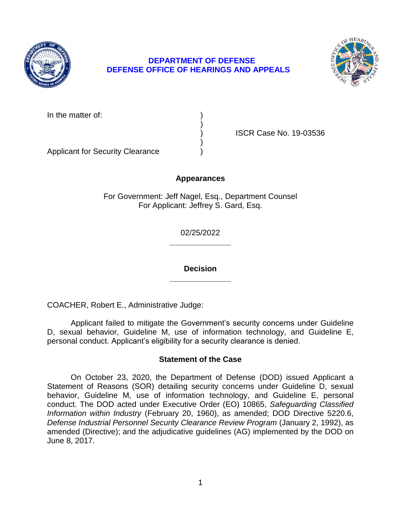

# **DEPARTMENT OF DEFENSE DEFENSE OFFICE OF HEARINGS AND APPEALS**



In the matter of:

) ISCR Case No. 19-03536

Applicant for Security Clearance )

# **Appearances**

)

)

For Government: Jeff Nagel, Esq., Department Counsel For Applicant: Jeffrey S. Gard, Esq.

> **\_\_\_\_\_\_\_\_\_\_\_\_\_\_**  02/25/2022

> **\_\_\_\_\_\_\_\_\_\_\_\_\_\_ Decision**

COACHER, Robert E., Administrative Judge:

 Applicant failed to mitigate the Government's security concerns under Guideline D, sexual behavior, Guideline M, use of information technology, and Guideline E, personal conduct. Applicant's eligibility for a security clearance is denied.

# **Statement of the Case**

 behavior, Guideline M, use of information technology, and Guideline E, personal  conduct. The DOD acted under Executive Order (EO) 10865, *Safeguarding Classified Information within Industry* (February 20, 1960), as amended; DOD Directive 5220.6, amended (Directive); and the adjudicative guidelines (AG) implemented by the DOD on On October 23, 2020, the Department of Defense (DOD) issued Applicant a Statement of Reasons (SOR) detailing security concerns under Guideline D, sexual *Defense Industrial Personnel Security Clearance Review Program* (January 2, 1992), as June 8, 2017.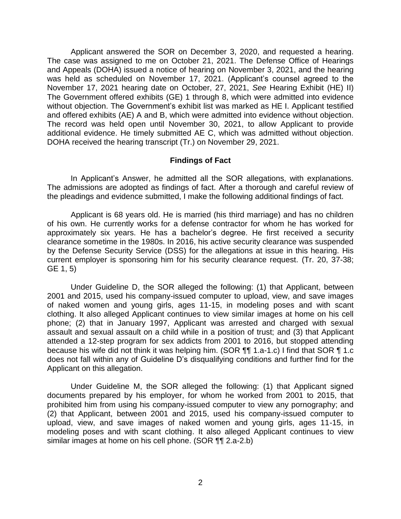Applicant answered the SOR on December 3, 2020, and requested a hearing. The case was assigned to me on October 21, 2021. The Defense Office of Hearings and Appeals (DOHA) issued a notice of hearing on November 3, 2021, and the hearing was held as scheduled on November 17, 2021. (Applicant's counsel agreed to the November 17, 2021 hearing date on October, 27, 2021, *See* Hearing Exhibit (HE) II) The Government offered exhibits (GE) 1 through 8, which were admitted into evidence and offered exhibits (AE) A and B, which were admitted into evidence without objection. The record was held open until November 30, 2021, to allow Applicant to provide additional evidence. He timely submitted AE C, which was admitted without objection. without objection. The Government's exhibit list was marked as HE I. Applicant testified DOHA received the hearing transcript (Tr.) on November 29, 2021.

#### **Findings of Fact**

 The admissions are adopted as findings of fact. After a thorough and careful review of In Applicant's Answer, he admitted all the SOR allegations, with explanations. the pleadings and evidence submitted, I make the following additional findings of fact.

 Applicant is 68 years old. He is married (his third marriage) and has no children of his own. He currently works for a defense contractor for whom he has worked for approximately six years. He has a bachelor's degree. He first received a security clearance sometime in the 1980s. In 2016, his active security clearance was suspended by the Defense Security Service (DSS) for the allegations at issue in this hearing. His current employer is sponsoring him for his security clearance request. (Tr. 20, 37-38; GE 1, 5)

 2001 and 2015, used his company-issued computer to upload, view, and save images of naked women and young girls, ages 11-15, in modeling poses and with scant clothing. It also alleged Applicant continues to view similar images at home on his cell phone; (2) that in January 1997, Applicant was arrested and charged with sexual assault and sexual assault on a child while in a position of trust; and (3) that Applicant attended a 12-step program for sex addicts from 2001 to 2016, but stopped attending because his wife did not think it was helping him. (SOR ¶¶ 1.a-1.c) I find that SOR ¶ 1.c does not fall within any of Guideline D's disqualifying conditions and further find for the Under Guideline D, the SOR alleged the following: (1) that Applicant, between Applicant on this allegation.

Under Guideline M, the SOR alleged the following: (1) that Applicant signed documents prepared by his employer, for whom he worked from 2001 to 2015, that prohibited him from using his company-issued computer to view any pornography; and (2) that Applicant, between 2001 and 2015, used his company-issued computer to upload, view, and save images of naked women and young girls, ages 11-15, in modeling poses and with scant clothing. It also alleged Applicant continues to view similar images at home on his cell phone. (SOR ¶¶ 2.a-2.b)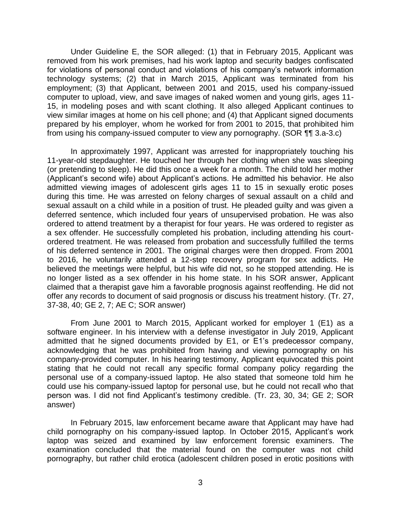Under Guideline E, the SOR alleged: (1) that in February 2015, Applicant was removed from his work premises, had his work laptop and security badges confiscated for violations of personal conduct and violations of his company's network information technology systems; (2) that in March 2015, Applicant was terminated from his employment; (3) that Applicant, between 2001 and 2015, used his company-issued computer to upload, view, and save images of naked women and young girls, ages 11- 15, in modeling poses and with scant clothing. It also alleged Applicant continues to view similar images at home on his cell phone; and (4) that Applicant signed documents prepared by his employer, whom he worked for from 2001 to 2015, that prohibited him from using his company-issued computer to view any pornography. (SOR ¶¶ 3.a-3.c)

 In approximately 1997, Applicant was arrested for inappropriately touching his 11-year-old stepdaughter. He touched her through her clothing when she was sleeping (or pretending to sleep). He did this once a week for a month. The child told her mother admitted viewing images of adolescent girls ages 11 to 15 in sexually erotic poses during this time. He was arrested on felony charges of sexual assault on a child and sexual assault on a child while in a position of trust. He pleaded guilty and was given a ordered to attend treatment by a therapist for four years. He was ordered to register as a sex offender. He successfully completed his probation, including attending his court- ordered treatment. He was released from probation and successfully fulfilled the terms of his deferred sentence in 2001. The original charges were then dropped. From 2001 to 2016, he voluntarily attended a 12-step recovery program for sex addicts. He believed the meetings were helpful, but his wife did not, so he stopped attending. He is no longer listed as a sex offender in his home state. In his SOR answer, Applicant claimed that a therapist gave him a favorable prognosis against reoffending. He did not (Applicant's second wife) about Applicant's actions. He admitted his behavior. He also deferred sentence, which included four years of unsupervised probation. He was also offer any records to document of said prognosis or discuss his treatment history. (Tr. 27, 37-38, 40; GE 2, 7; AE C; SOR answer)

 From June 2001 to March 2015, Applicant worked for employer 1 (E1) as a software engineer. In his interview with a defense investigator in July 2019, Applicant admitted that he signed documents provided by E1, or E1's predecessor company, acknowledging that he was prohibited from having and viewing pornography on his company-provided computer. In his hearing testimony, Applicant equivocated this point stating that he could not recall any specific formal company policy regarding the personal use of a company-issued laptop. He also stated that someone told him he could use his company-issued laptop for personal use, but he could not recall who that person was. I did not find Applicant's testimony credible. (Tr. 23, 30, 34; GE 2; SOR answer)

 In February 2015, law enforcement became aware that Applicant may have had child pornography on his company-issued laptop. In October 2015, Applicant's work laptop was seized and examined by law enforcement forensic examiners. The examination concluded that the material found on the computer was not child pornography, but rather child erotica (adolescent children posed in erotic positions with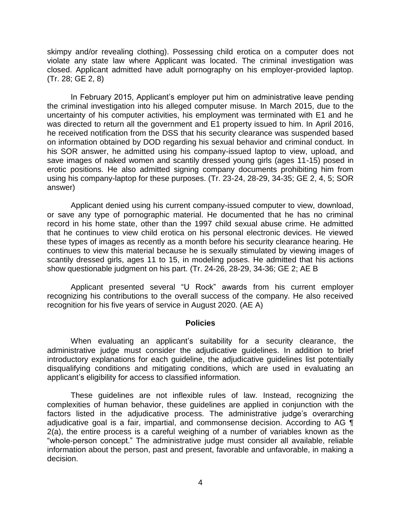skimpy and/or revealing clothing). Possessing child erotica on a computer does not violate any state law where Applicant was located. The criminal investigation was closed. Applicant admitted have adult pornography on his employer-provided laptop. (Tr. 28; GE 2, 8)

 In February 2015, Applicant's employer put him on administrative leave pending the criminal investigation into his alleged computer misuse. In March 2015, due to the uncertainty of his computer activities, his employment was terminated with E1 and he was directed to return all the government and E1 property issued to him. In April 2016, he received notification from the DSS that his security clearance was suspended based on information obtained by DOD regarding his sexual behavior and criminal conduct. In his SOR answer, he admitted using his company-issued laptop to view, upload, and save images of naked women and scantily dressed young girls (ages 11-15) posed in erotic positions. He also admitted signing company documents prohibiting him from using his company-laptop for these purposes. (Tr. 23-24, 28-29, 34-35; GE 2, 4, 5; SOR answer)

 or save any type of pornographic material. He documented that he has no criminal record in his home state, other than the 1997 child sexual abuse crime. He admitted that he continues to view child erotica on his personal electronic devices. He viewed these types of images as recently as a month before his security clearance hearing. He continues to view this material because he is sexually stimulated by viewing images of scantily dressed girls, ages 11 to 15, in modeling poses. He admitted that his actions show questionable judgment on his part. (Tr. 24-26, 28-29, 34-36; GE 2; AE B Applicant denied using his current company-issued computer to view, download,

 recognizing his contributions to the overall success of the company. He also received Applicant presented several "U Rock" awards from his current employer recognition for his five years of service in August 2020. (AE A)

#### **Policies**

 When evaluating an applicant's suitability for a security clearance, the administrative judge must consider the adjudicative guidelines. In addition to brief introductory explanations for each guideline, the adjudicative guidelines list potentially disqualifying conditions and mitigating conditions, which are used in evaluating an applicant's eligibility for access to classified information.

 These guidelines are not inflexible rules of law. Instead, recognizing the complexities of human behavior, these guidelines are applied in conjunction with the factors listed in the adjudicative process. The administrative judge's overarching adjudicative goal is a fair, impartial, and commonsense decision. According to AG  $\P$  2(a), the entire process is a careful weighing of a number of variables known as the "whole-person concept." The administrative judge must consider all available, reliable information about the person, past and present, favorable and unfavorable, in making a decision.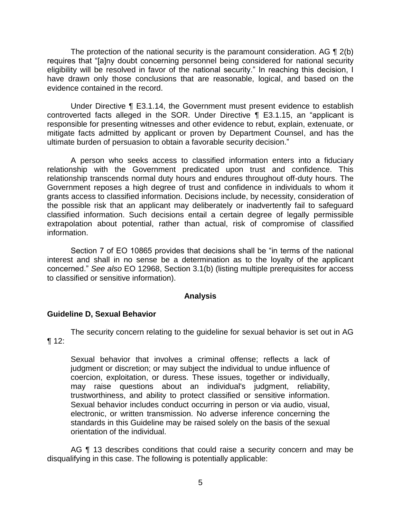The protection of the national security is the paramount consideration. AG  $\P$  2(b) eligibility will be resolved in favor of the national security." In reaching this decision, I have drawn only those conclusions that are reasonable, logical, and based on the requires that "[a]ny doubt concerning personnel being considered for national security evidence contained in the record.

 Under Directive ¶ E3.1.14, the Government must present evidence to establish responsible for presenting witnesses and other evidence to rebut, explain, extenuate, or mitigate facts admitted by applicant or proven by Department Counsel, and has the controverted facts alleged in the SOR. Under Directive ¶ E3.1.15, an "applicant is ultimate burden of persuasion to obtain a favorable security decision."

 A person who seeks access to classified information enters into a fiduciary relationship with the Government predicated upon trust and confidence. This relationship transcends normal duty hours and endures throughout off-duty hours. The Government reposes a high degree of trust and confidence in individuals to whom it grants access to classified information. Decisions include, by necessity, consideration of the possible risk that an applicant may deliberately or inadvertently fail to safeguard classified information. Such decisions entail a certain degree of legally permissible extrapolation about potential, rather than actual, risk of compromise of classified information.

 Section 7 of EO 10865 provides that decisions shall be "in terms of the national interest and shall in no sense be a determination as to the loyalty of the applicant concerned." *See also* EO 12968, Section 3.1(b) (listing multiple prerequisites for access to classified or sensitive information).

## **Analysis**

## **Guideline D, Sexual Behavior**

 The security concern relating to the guideline for sexual behavior is set out in AG  $\P$  12:

Sexual behavior that involves a criminal offense; reflects a lack of judgment or discretion; or may subject the individual to undue influence of coercion, exploitation, or duress. These issues, together or individually, may raise questions about an individual's judgment, reliability, trustworthiness, and ability to protect classified or sensitive information. Sexual behavior includes conduct occurring in person or via audio, visual, electronic, or written transmission. No adverse inference concerning the standards in this Guideline may be raised solely on the basis of the sexual orientation of the individual.

AG ¶ 13 describes conditions that could raise a security concern and may be disqualifying in this case. The following is potentially applicable: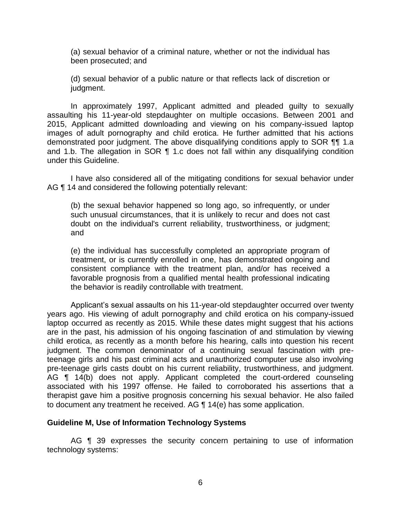(a) sexual behavior of a criminal nature, whether or not the individual has been prosecuted; and

(d) sexual behavior of a public nature or that reflects lack of discretion or judgment.

 In approximately 1997, Applicant admitted and pleaded guilty to sexually assaulting his 11-year-old stepdaughter on multiple occasions. Between 2001 and 2015, Applicant admitted downloading and viewing on his company-issued laptop images of adult pornography and child erotica. He further admitted that his actions demonstrated poor judgment. The above disqualifying conditions apply to SOR ¶¶ 1.a and 1.b. The allegation in SOR ¶ 1.c does not fall within any disqualifying condition under this Guideline.

 I have also considered all of the mitigating conditions for sexual behavior under AG ¶ 14 and considered the following potentially relevant:

(b) the sexual behavior happened so long ago, so infrequently, or under such unusual circumstances, that it is unlikely to recur and does not cast doubt on the individual's current reliability, trustworthiness, or judgment; and

 (e) the individual has successfully completed an appropriate program of treatment, or is currently enrolled in one, has demonstrated ongoing and consistent compliance with the treatment plan, and/or has received a favorable prognosis from a qualified mental health professional indicating the behavior is readily controllable with treatment.

 years ago. His viewing of adult pornography and child erotica on his company-issued laptop occurred as recently as 2015. While these dates might suggest that his actions are in the past, his admission of his ongoing fascination of and stimulation by viewing child erotica, as recently as a month before his hearing, calls into question his recent judgment. The common denominator of a continuing sexual fascination with pre- teenage girls and his past criminal acts and unauthorized computer use also involving pre-teenage girls casts doubt on his current reliability, trustworthiness, and judgment. AG ¶ 14(b) does not apply. Applicant completed the court-ordered counseling associated with his 1997 offense. He failed to corroborated his assertions that a therapist gave him a positive prognosis concerning his sexual behavior. He also failed Applicant's sexual assaults on his 11-year-old stepdaughter occurred over twenty to document any treatment he received. AG ¶ 14(e) has some application.

#### **Guideline M, Use of Information Technology Systems**

 AG ¶ 39 expresses the security concern pertaining to use of information technology systems: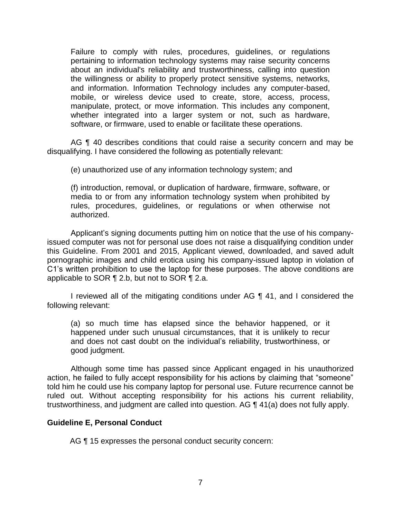Failure to comply with rules, procedures, guidelines, or regulations pertaining to information technology systems may raise security concerns about an individual's reliability and trustworthiness, calling into question the willingness or ability to properly protect sensitive systems, networks, and information. Information Technology includes any computer-based, mobile, or wireless device used to create, store, access, process, manipulate, protect, or move information. This includes any component, whether integrated into a larger system or not, such as hardware, software, or firmware, used to enable or facilitate these operations.

AG ¶ 40 describes conditions that could raise a security concern and may be disqualifying. I have considered the following as potentially relevant:

(e) unauthorized use of any information technology system; and

 media to or from any information technology system when prohibited by (f) introduction, removal, or duplication of hardware, firmware, software, or rules, procedures, guidelines, or regulations or when otherwise not authorized.

 Applicant's signing documents putting him on notice that the use of his company- issued computer was not for personal use does not raise a disqualifying condition under this Guideline. From 2001 and 2015, Applicant viewed, downloaded, and saved adult pornographic images and child erotica using his company-issued laptop in violation of C1's written prohibition to use the laptop for these purposes. The above conditions are applicable to SOR ¶ 2.b, but not to SOR ¶ 2.a.

I reviewed all of the mitigating conditions under AG ¶ 41, and I considered the following relevant:

(a) so much time has elapsed since the behavior happened, or it happened under such unusual circumstances, that it is unlikely to recur and does not cast doubt on the individual's reliability, trustworthiness, or good judgment.

 Although some time has passed since Applicant engaged in his unauthorized action, he failed to fully accept responsibility for his actions by claiming that "someone" ruled out. Without accepting responsibility for his actions his current reliability, told him he could use his company laptop for personal use. Future recurrence cannot be trustworthiness, and judgment are called into question. AG ¶ 41(a) does not fully apply.

## **Guideline E, Personal Conduct**

AG ¶ 15 expresses the personal conduct security concern: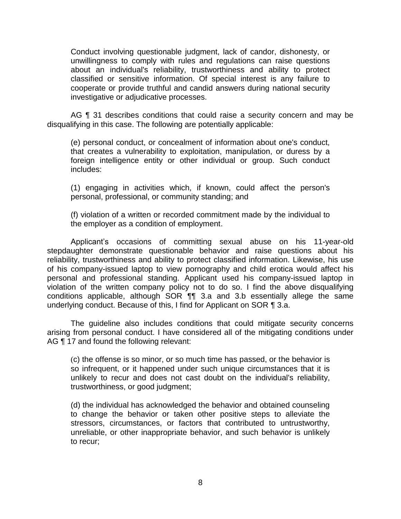Conduct involving questionable judgment, lack of candor, dishonesty, or unwillingness to comply with rules and regulations can raise questions about an individual's reliability, trustworthiness and ability to protect classified or sensitive information. Of special interest is any failure to cooperate or provide truthful and candid answers during national security investigative or adjudicative processes.

AG ¶ 31 describes conditions that could raise a security concern and may be disqualifying in this case. The following are potentially applicable:

(e) personal conduct, or concealment of information about one's conduct, that creates a vulnerability to exploitation, manipulation, or duress by a foreign intelligence entity or other individual or group. Such conduct includes:

(1) engaging in activities which, if known, could affect the person's personal, professional, or community standing; and

 (f) violation of a written or recorded commitment made by the individual to the employer as a condition of employment.

 Applicant's occasions of committing sexual abuse on his 11-year-old stepdaughter demonstrate questionable behavior and raise questions about his reliability, trustworthiness and ability to protect classified information. Likewise, his use of his company-issued laptop to view pornography and child erotica would affect his personal and professional standing. Applicant used his company-issued laptop in violation of the written company policy not to do so. I find the above disqualifying conditions applicable, although SOR ¶¶ 3.a and 3.b essentially allege the same underlying conduct. Because of this, I find for Applicant on SOR ¶ 3.a.

 The guideline also includes conditions that could mitigate security concerns arising from personal conduct. I have considered all of the mitigating conditions under AG ¶ 17 and found the following relevant:

(c) the offense is so minor, or so much time has passed, or the behavior is so infrequent, or it happened under such unique circumstances that it is unlikely to recur and does not cast doubt on the individual's reliability, trustworthiness, or good judgment;

 (d) the individual has acknowledged the behavior and obtained counseling to change the behavior or taken other positive steps to alleviate the stressors, circumstances, or factors that contributed to untrustworthy, unreliable, or other inappropriate behavior, and such behavior is unlikely to recur;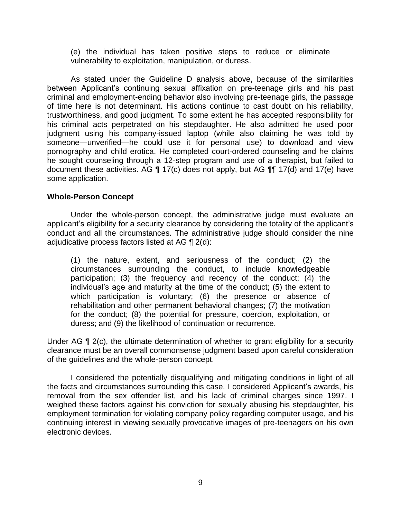(e) the individual has taken positive steps to reduce or eliminate vulnerability to exploitation, manipulation, or duress.

 As stated under the Guideline D analysis above, because of the similarities between Applicant's continuing sexual affixation on pre-teenage girls and his past criminal and employment-ending behavior also involving pre-teenage girls, the passage of time here is not determinant. His actions continue to cast doubt on his reliability, trustworthiness, and good judgment. To some extent he has accepted responsibility for his criminal acts perpetrated on his stepdaughter. He also admitted he used poor judgment using his company-issued laptop (while also claiming he was told by someone—unverified—he could use it for personal use) to download and view pornography and child erotica. He completed court-ordered counseling and he claims he sought counseling through a 12-step program and use of a therapist, but failed to document these activities. AG ¶ 17(c) does not apply, but AG ¶¶ 17(d) and 17(e) have some application.

#### **Whole-Person Concept**

 Under the whole-person concept, the administrative judge must evaluate an applicant's eligibility for a security clearance by considering the totality of the applicant's conduct and all the circumstances. The administrative judge should consider the nine adjudicative process factors listed at AG  $\P$  2(d):

(1) the nature, extent, and seriousness of the conduct; (2) the circumstances surrounding the conduct, to include knowledgeable participation; (3) the frequency and recency of the conduct; (4) the individual's age and maturity at the time of the conduct; (5) the extent to which participation is voluntary; (6) the presence or absence of rehabilitation and other permanent behavioral changes; (7) the motivation for the conduct; (8) the potential for pressure, coercion, exploitation, or duress; and (9) the likelihood of continuation or recurrence.

Under AG ¶ 2(c), the ultimate determination of whether to grant eligibility for a security clearance must be an overall commonsense judgment based upon careful consideration of the guidelines and the whole-person concept.

 I considered the potentially disqualifying and mitigating conditions in light of all the facts and circumstances surrounding this case. I considered Applicant's awards, his removal from the sex offender list, and his lack of criminal charges since 1997. I weighed these factors against his conviction for sexually abusing his stepdaughter, his continuing interest in viewing sexually provocative images of pre-teenagers on his own employment termination for violating company policy regarding computer usage, and his electronic devices.